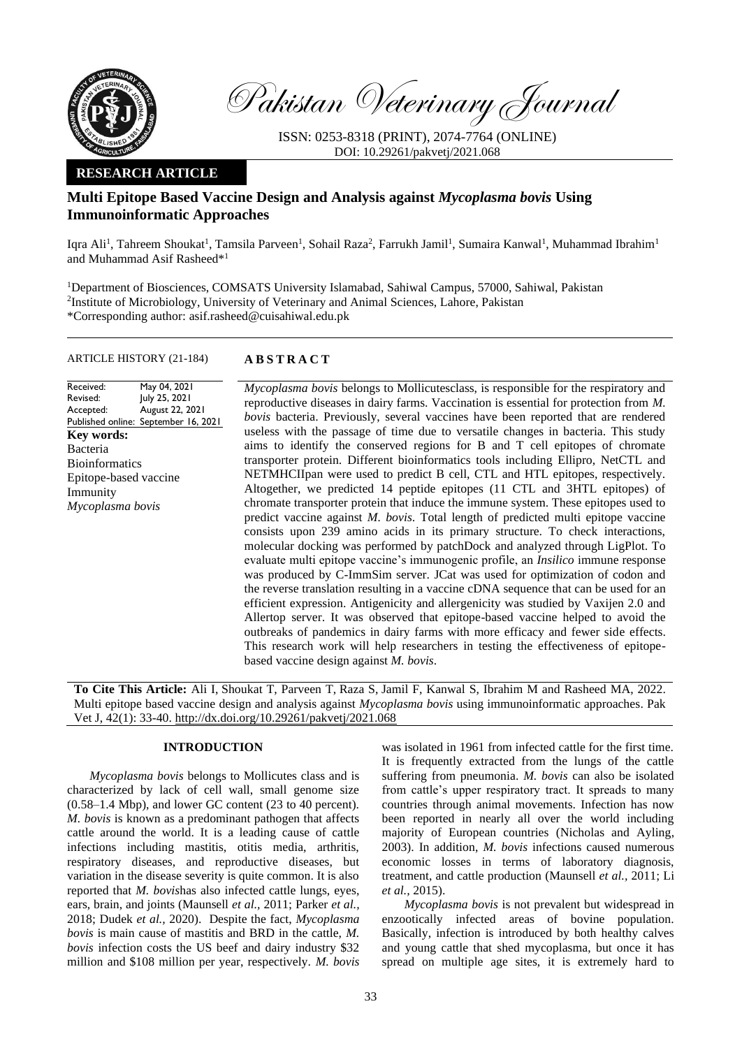

Pakistan Veterinary Journal

ISSN: 0253-8318 (PRINT), 2074-7764 (ONLINE) DOI: 10.29261/pakvetj/2021.068

# **RESEARCH ARTICLE**

# **Multi Epitope Based Vaccine Design and Analysis against** *Mycoplasma bovis* **Using Immunoinformatic Approaches**

Iqra Ali<sup>1</sup>, Tahreem Shoukat<sup>1</sup>, Tamsila Parveen<sup>1</sup>, Sohail Raza<sup>2</sup>, Farrukh Jamil<sup>1</sup>, Sumaira Kanwal<sup>1</sup>, Muhammad Ibrahim<sup>1</sup> and Muhammad Asif Rasheed\*<sup>1</sup>

<sup>1</sup>Department of Biosciences, COMSATS University Islamabad, Sahiwal Campus, 57000, Sahiwal, Pakistan <sup>2</sup>Institute of Microbiology, University of Veterinary and Animal Sciences, Lahore, Pakistan \*Corresponding author: asif.rasheed@cuisahiwal.edu.pk

### ARTICLE HISTORY (21-184) **A B S T R A C T**

#### Received: Revised: Accepted: Published online: September 16, 2021 May 04, 2021 July 25, 2021 August 22, 2021 **Key words:**  Bacteria Bioinformatics Epitope-based vaccine Immunity *Mycoplasma bovis*

*Mycoplasma bovis* belongs to Mollicutesclass, is responsible for the respiratory and reproductive diseases in dairy farms. Vaccination is essential for protection from *M. bovis* bacteria. Previously, several vaccines have been reported that are rendered useless with the passage of time due to versatile changes in bacteria. This study aims to identify the conserved regions for B and T cell epitopes of chromate transporter protein. Different bioinformatics tools including Ellipro, NetCTL and NETMHCIIpan were used to predict B cell, CTL and HTL epitopes, respectively. Altogether, we predicted 14 peptide epitopes (11 CTL and 3HTL epitopes) of chromate transporter protein that induce the immune system. These epitopes used to predict vaccine against *M. bovis*. Total length of predicted multi epitope vaccine consists upon 239 amino acids in its primary structure. To check interactions, molecular docking was performed by patchDock and analyzed through LigPlot. To evaluate multi epitope vaccine's immunogenic profile, an *Insilico* immune response was produced by C-ImmSim server. JCat was used for optimization of codon and the reverse translation resulting in a vaccine cDNA sequence that can be used for an efficient expression. Antigenicity and allergenicity was studied by Vaxijen 2.0 and Allertop server. It was observed that epitope-based vaccine helped to avoid the outbreaks of pandemics in dairy farms with more efficacy and fewer side effects. This research work will help researchers in testing the effectiveness of epitopebased vaccine design against *M. bovis*.

**To Cite This Article:** Ali I, Shoukat T, Parveen T, Raza S, Jamil F, Kanwal S, Ibrahim M and Rasheed MA, 2022. Multi epitope based vaccine design and analysis against *Mycoplasma bovis* using immunoinformatic approaches. Pak Vet J, 42(1): 33-40[. http://dx.doi.org/10.29261/pakvetj/2021.068](http://pvj.com.pk/pdf-files/42_1/33-40.pdf)

# **INTRODUCTION**

*Mycoplasma bovis* belongs to Mollicutes class and is characterized by lack of cell wall, small genome size (0.58–1.4 Mbp), and lower GC content (23 to 40 percent). *M. bovis* is known as a predominant pathogen that affects cattle around the world. It is a leading cause of cattle infections including mastitis, otitis media, arthritis, respiratory diseases, and reproductive diseases, but variation in the disease severity is quite common. It is also reported that *M. bovis*has also infected cattle lungs, eyes, ears, brain, and joints (Maunsell *et al.,* 2011; Parker *et al.,* 2018; Dudek *et al.,* 2020). Despite the fact, *Mycoplasma bovis* is main cause of mastitis and BRD in the cattle, *M. bovis* infection costs the US beef and dairy industry \$32 million and \$108 million per year, respectively. *M. bovis*

was isolated in 1961 from infected cattle for the first time. It is frequently extracted from the lungs of the cattle suffering from pneumonia. *M. bovis* can also be isolated from cattle's upper respiratory tract. It spreads to many countries through animal movements. Infection has now been reported in nearly all over the world including majority of European countries (Nicholas and Ayling, 2003). In addition, *M. bovis* infections caused numerous economic losses in terms of laboratory diagnosis, treatment, and cattle production (Maunsell *et al.,* 2011; Li *et al.,* 2015).

*Mycoplasma bovis* is not prevalent but widespread in enzootically infected areas of bovine population. Basically, infection is introduced by both healthy calves and young cattle that shed mycoplasma, but once it has spread on multiple age sites, it is extremely hard to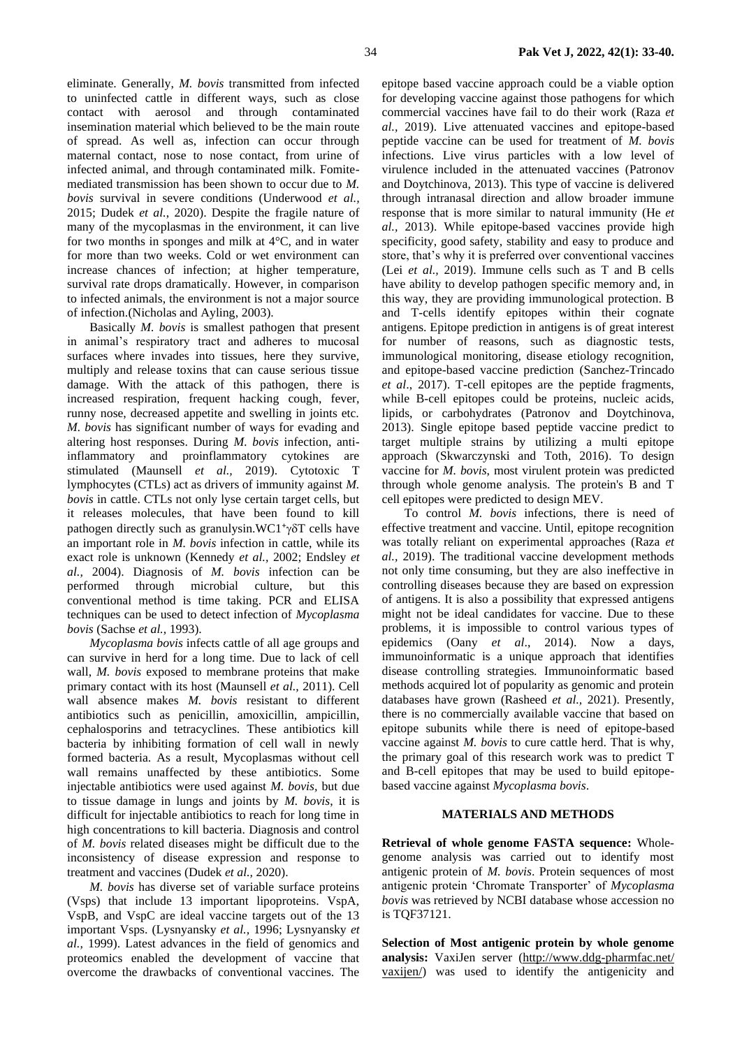eliminate. Generally, *M. bovis* transmitted from infected to uninfected cattle in different ways, such as close contact with aerosol and through contaminated insemination material which believed to be the main route of spread. As well as, infection can occur through maternal contact, nose to nose contact, from urine of infected animal, and through contaminated milk. Fomitemediated transmission has been shown to occur due to *M. bovis* survival in severe conditions (Underwood *et al.,* 2015; Dudek *et al.*, 2020). Despite the fragile nature of many of the mycoplasmas in the environment, it can live for two months in sponges and milk at 4°C, and in water for more than two weeks. Cold or wet environment can increase chances of infection; at higher temperature, survival rate drops dramatically. However, in comparison to infected animals, the environment is not a major source of infection.(Nicholas and Ayling, 2003).

Basically *M. bovis* is smallest pathogen that present in animal's respiratory tract and adheres to mucosal surfaces where invades into tissues, here they survive, multiply and release toxins that can cause serious tissue damage. With the attack of this pathogen, there is increased respiration, frequent hacking cough, fever, runny nose, decreased appetite and swelling in joints etc. *M. bovis* has significant number of ways for evading and altering host responses. During *M. bovis* infection, antiinflammatory and proinflammatory cytokines are stimulated (Maunsell *et al.,* 2019). Cytotoxic T lymphocytes (CTLs) act as drivers of immunity against *M. bovis* in cattle. CTLs not only lyse certain target cells, but it releases molecules, that have been found to kill pathogen directly such as granulysin. WC1<sup>+</sup>γδT cells have an important role in *M. bovis* infection in cattle, while its exact role is unknown (Kennedy *et al.,* 2002; Endsley *et al.,* 2004). Diagnosis of *M. bovis* infection can be performed through microbial culture, but this conventional method is time taking. PCR and ELISA techniques can be used to detect infection of *Mycoplasma bovis* (Sachse *et al.,* 1993).

*Mycoplasma bovis* infects cattle of all age groups and can survive in herd for a long time. Due to lack of cell wall, *M. bovis* exposed to membrane proteins that make primary contact with its host (Maunsell *et al.,* 2011). Cell wall absence makes *M. bovis* resistant to different antibiotics such as penicillin, amoxicillin, ampicillin, cephalosporins and tetracyclines. These antibiotics kill bacteria by inhibiting formation of cell wall in newly formed bacteria. As a result, Mycoplasmas without cell wall remains unaffected by these antibiotics. Some injectable antibiotics were used against *M. bovis,* but due to tissue damage in lungs and joints by *M. bovis*, it is difficult for injectable antibiotics to reach for long time in high concentrations to kill bacteria. Diagnosis and control of *M. bovis* related diseases might be difficult due to the inconsistency of disease expression and response to treatment and vaccines (Dudek *et al.,* 2020).

*M. bovis* has diverse set of variable surface proteins (Vsps) that include 13 important lipoproteins. VspA, VspB, and VspC are ideal vaccine targets out of the 13 important Vsps. (Lysnyansky *et al.,* 1996; Lysnyansky *et al.,* 1999). Latest advances in the field of genomics and proteomics enabled the development of vaccine that overcome the drawbacks of conventional vaccines. The

epitope based vaccine approach could be a viable option for developing vaccine against those pathogens for which commercial vaccines have fail to do their work (Raza *et al.,* 2019). Live attenuated vaccines and epitope-based peptide vaccine can be used for treatment of *M. bovis* infections. Live virus particles with a low level of virulence included in the attenuated vaccines (Patronov and Doytchinova, 2013). This type of vaccine is delivered through intranasal direction and allow broader immune response that is more similar to natural immunity (He *et al.,* 2013). While epitope-based vaccines provide high specificity, good safety, stability and easy to produce and store, that's why it is preferred over conventional vaccines (Lei *et al.,* 2019). Immune cells such as T and B cells have ability to develop pathogen specific memory and, in this way, they are providing immunological protection. B and T-cells identify epitopes within their cognate antigens. Epitope prediction in antigens is of great interest for number of reasons, such as diagnostic tests, immunological monitoring, disease etiology recognition, and epitope-based vaccine prediction (Sanchez-Trincado *et al*., 2017). T-cell epitopes are the peptide fragments, while B-cell epitopes could be proteins, nucleic acids, lipids, or carbohydrates (Patronov and Doytchinova, 2013). Single epitope based peptide vaccine predict to target multiple strains by utilizing a multi epitope approach (Skwarczynski and Toth, 2016). To design vaccine for *M. bovis*, most virulent protein was predicted through whole genome analysis. The protein's B and T cell epitopes were predicted to design MEV.

To control *M. bovis* infections, there is need of effective treatment and vaccine. Until, epitope recognition was totally reliant on experimental approaches (Raza *et al.,* 2019). The traditional vaccine development methods not only time consuming, but they are also ineffective in controlling diseases because they are based on expression of antigens. It is also a possibility that expressed antigens might not be ideal candidates for vaccine. Due to these problems, it is impossible to control various types of epidemics (Oany *et al*., 2014). Now a days, immunoinformatic is a unique approach that identifies disease controlling strategies. Immunoinformatic based methods acquired lot of popularity as genomic and protein databases have grown (Rasheed *et al.,* 2021). Presently, there is no commercially available vaccine that based on epitope subunits while there is need of epitope-based vaccine against *M. bovis* to cure cattle herd. That is why, the primary goal of this research work was to predict T and B-cell epitopes that may be used to build epitopebased vaccine against *Mycoplasma bovis*.

# **MATERIALS AND METHODS**

**Retrieval of whole genome FASTA sequence:** Wholegenome analysis was carried out to identify most antigenic protein of *M. bovis*. Protein sequences of most antigenic protein 'Chromate Transporter' of *Mycoplasma bovis* was retrieved by NCBI database whose accession no is TQF37121.

**Selection of Most antigenic protein by whole genome analysis:** VaxiJen server [\(http://www.ddg-pharmfac.net/](http://www.ddg-pharmfac.net/%20vaxijen/)  [vaxijen/\)](http://www.ddg-pharmfac.net/%20vaxijen/) was used to identify the antigenicity and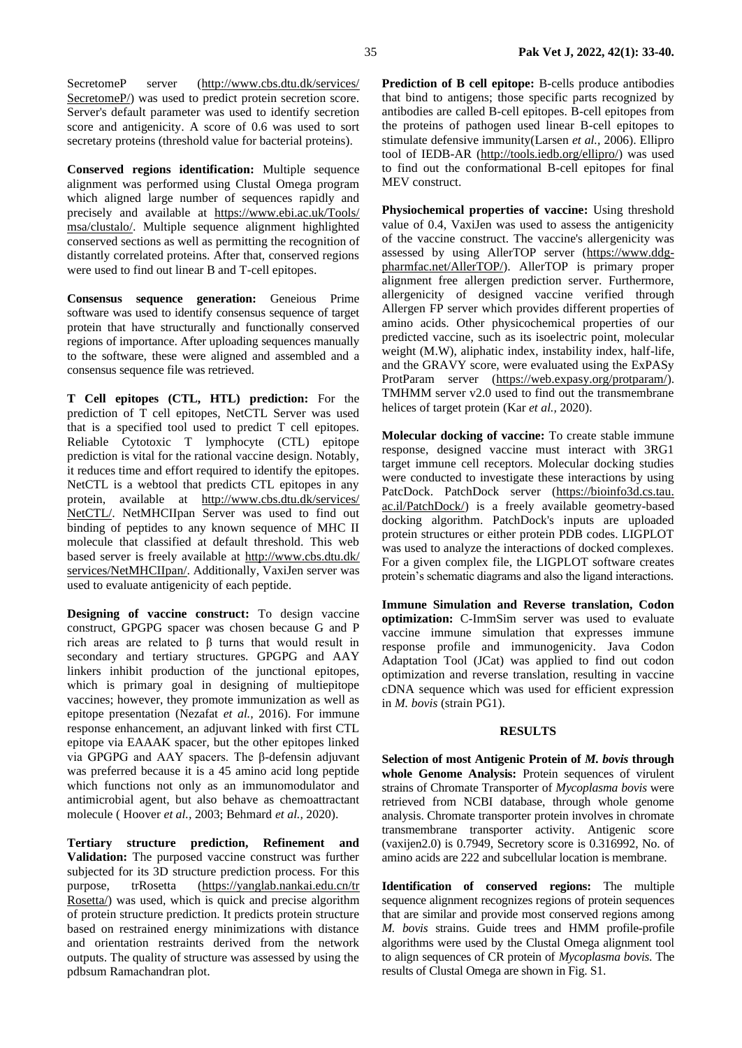SecretomeP server [\(http://www.cbs.dtu.dk/services/](http://www.cbs.dtu.dk/services/%20SecretomeP/)  [SecretomeP/\)](http://www.cbs.dtu.dk/services/%20SecretomeP/) was used to predict protein secretion score. Server's default parameter was used to identify secretion score and antigenicity. A score of 0.6 was used to sort secretary proteins (threshold value for bacterial proteins).

**Conserved regions identification:** Multiple sequence alignment was performed using Clustal Omega program which aligned large number of sequences rapidly and precisely and available at [https://www.ebi.ac.uk/Tools/](https://www.ebi.ac.uk/Tools/%20msa/clustalo/)  [msa/clustalo/.](https://www.ebi.ac.uk/Tools/%20msa/clustalo/) Multiple sequence alignment highlighted conserved sections as well as permitting the recognition of distantly correlated proteins. After that, conserved regions were used to find out linear B and T-cell epitopes.

**Consensus sequence generation:** Geneious Prime software was used to identify consensus sequence of target protein that have structurally and functionally conserved regions of importance. After uploading sequences manually to the software, these were aligned and assembled and a consensus sequence file was retrieved.

**T Cell epitopes (CTL, HTL) prediction:** For the prediction of T cell epitopes, NetCTL Server was used that is a specified tool used to predict T cell epitopes. Reliable Cytotoxic T lymphocyte (CTL) epitope prediction is vital for the rational vaccine design. Notably, it reduces time and effort required to identify the epitopes. NetCTL is a webtool that predicts CTL epitopes in any protein, available at [http://www.cbs.dtu.dk/services/](http://www.cbs.dtu.dk/services/%20NetCTL/)  [NetCTL/.](http://www.cbs.dtu.dk/services/%20NetCTL/) NetMHCIIpan Server was used to find out binding of peptides to any known sequence of MHC II molecule that classified at default threshold. This web based server is freely available at [http://www.cbs.dtu.dk/](http://www.cbs.dtu.dk/%20services/NetMHCIIpan/)  [services/NetMHCIIpan/.](http://www.cbs.dtu.dk/%20services/NetMHCIIpan/) Additionally, VaxiJen server was used to evaluate antigenicity of each peptide.

**Designing of vaccine construct:** To design vaccine construct, GPGPG spacer was chosen because G and P rich areas are related to  $β$  turns that would result in secondary and tertiary structures. GPGPG and AAY linkers inhibit production of the junctional epitopes, which is primary goal in designing of multiepitope vaccines; however, they promote immunization as well as epitope presentation (Nezafat *et al.,* 2016). For immune response enhancement, an adjuvant linked with first CTL epitope via EAAAK spacer, but the other epitopes linked via GPGPG and AAY spacers. The β-defensin adjuvant was preferred because it is a 45 amino acid long peptide which functions not only as an immunomodulator and antimicrobial agent, but also behave as chemoattractant molecule ( Hoover *et al.,* 2003; Behmard *et al.,* 2020).

**Tertiary structure prediction, Refinement and Validation:** The purposed vaccine construct was further subjected for its 3D structure prediction process. For this purpose, trRosetta [\(https://yanglab.nankai.edu.cn/tr](https://yanglab.nankai.edu.cn/tr%20Rosetta/)  [Rosetta/\)](https://yanglab.nankai.edu.cn/tr%20Rosetta/) was used, which is quick and precise algorithm of protein structure prediction. It predicts protein structure based on restrained energy minimizations with distance and orientation restraints derived from the network outputs. The quality of structure was assessed by using the pdbsum Ramachandran plot.

**Prediction of B cell epitope:** B-cells produce antibodies that bind to antigens; those specific parts recognized by antibodies are called B-cell epitopes. B-cell epitopes from the proteins of pathogen used linear B-cell epitopes to stimulate defensive immunity(Larsen *et al.,* 2006). Ellipro tool of IEDB-AR [\(http://tools.iedb.org/ellipro/\)](http://tools.iedb.org/ellipro/) was used to find out the conformational B-cell epitopes for final MEV construct.

**Physiochemical properties of vaccine:** Using threshold value of 0.4, VaxiJen was used to assess the antigenicity of the vaccine construct. The vaccine's allergenicity was assessed by using AllerTOP server [\(https://www.ddg](https://www.ddg-pharmfac.net/AllerTOP/)[pharmfac.net/AllerTOP/\)](https://www.ddg-pharmfac.net/AllerTOP/). AllerTOP is primary proper alignment free allergen prediction server. Furthermore, allergenicity of designed vaccine verified through Allergen FP server which provides different properties of amino acids. Other physicochemical properties of our predicted vaccine, such as its isoelectric point, molecular weight (M.W), aliphatic index, instability index, half-life, and the GRAVY score, were evaluated using the ExPASy ProtParam server [\(https://web.expasy.org/protparam/\)](https://web.expasy.org/protparam/). TMHMM server v2.0 used to find out the transmembrane helices of target protein (Kar *et al.,* 2020).

**Molecular docking of vaccine:** To create stable immune response, designed vaccine must interact with 3RG1 target immune cell receptors. Molecular docking studies were conducted to investigate these interactions by using PatcDock. PatchDock server (https://bioinfo3d.cs.tau. ac.il/PatchDock/) is a freely available geometry-based docking algorithm. PatchDock's inputs are uploaded protein structures or either protein PDB codes. LIGPLOT was used to analyze the interactions of docked complexes. For a given complex file, the LIGPLOT software creates protein's schematic diagrams and also the ligand interactions.

**Immune Simulation and Reverse translation, Codon optimization:** C-ImmSim server was used to evaluate vaccine immune simulation that expresses immune response profile and immunogenicity. Java Codon Adaptation Tool (JCat) was applied to find out codon optimization and reverse translation, resulting in vaccine cDNA sequence which was used for efficient expression in *M. bovis* (strain PG1).

## **RESULTS**

**Selection of most Antigenic Protein of** *M. bovis* **through whole Genome Analysis:** Protein sequences of virulent strains of Chromate Transporter of *Mycoplasma bovis* were retrieved from NCBI database, through whole genome analysis. Chromate transporter protein involves in chromate transmembrane transporter activity. Antigenic score (vaxijen2.0) is 0.7949, Secretory score is 0.316992, No. of amino acids are 222 and subcellular location is membrane.

**Identification of conserved regions:** The multiple sequence alignment recognizes regions of protein sequences that are similar and provide most conserved regions among *M. bovis* strains. Guide trees and HMM profile-profile algorithms were used by the Clustal Omega alignment tool to align sequences of CR protein of *Mycoplasma bovis*. The results of Clustal Omega are shown in Fig. S1.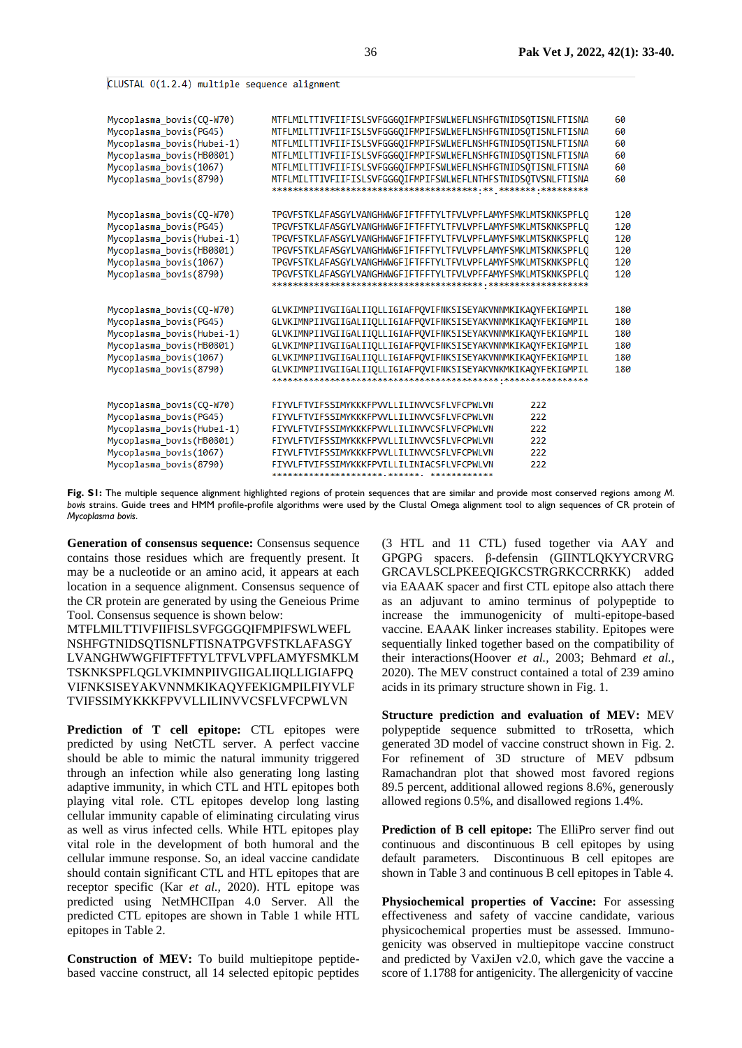#### CLUSTAL 0(1.2.4) multiple sequence alignment

| Mycoplasma_bovis(CQ-W70)<br>Mycoplasma bovis (PG45)<br>Mycoplasma_bovis(Hubei-1)<br>Mycoplasma bovis (HB0801)<br>Mycoplasma bovis(1067)<br>Mycoplasma bovis (8790) | MTFLMILTTIVFIIFISLSVFGGGQIFMPIFSWLWEFLNSHFGTNIDSQTISNLFTISNA<br>MTFLMILTTIVFIIFISLSVFGGGOIFMPIFSWLWEFLNSHFGTNIDSOTISNLFTISNA<br>MTFLMILTTIVFIIFISLSVFGGGQIFMPIFSWLWEFLNSHFGTNIDSQTISNLFTISNA<br>MTFLMILTTIVFIIFISLSVFGGGOIFMPIFSWLWEFLNSHFGTNIDSOTISNLFTISNA<br>MTFLMILTTIVFIIFISLSVFGGGQIFMPIFSWLWEFLNSHFGTNIDSQTISNLFTISNA<br>MTFLMILTTIVFIIFISLSVFGGGQIFMPIFSWLWEFLNTHFSTNIDSQTVSNLFTISNA | 60<br>60<br>60<br>60<br>60<br>60       |
|--------------------------------------------------------------------------------------------------------------------------------------------------------------------|----------------------------------------------------------------------------------------------------------------------------------------------------------------------------------------------------------------------------------------------------------------------------------------------------------------------------------------------------------------------------------------------|----------------------------------------|
| Mycoplasma bovis(CO-W70)<br>Mycoplasma bovis (PG45)<br>Mycoplasma_bovis(Hubei-1)<br>Mycoplasma bovis (HB0801)<br>Mycoplasma bovis(1067)<br>Mycoplasma bovis (8790) | TPGVFSTKLAFASGYLVANGHWWGFIFTFFTYLTFVLVPFLAMYFSMKLMTSKNKSPFLO<br>TPGVFSTKLAFASGYLVANGHWWGFIFTFFTYLTFVLVPFLAMYFSMKLMTSKNKSPFLO<br>TPGVFSTKLAFASGYLVANGHWWGFIFTFFTYLTFVLVPFLAMYFSMKLMTSKNKSPFLQ<br>TPGVFSTKLAFASGYLVANGHWWGFIFTFFTYLTFVLVPFLAMYFSMKLMTSKNKSPFLO<br>TPGVFSTKLAFASGYLVANGHWWGFIFTFFTYLTFVLVPFLAMYFSMKLMTSKNKSPFLO<br>TPGVFSTKLAFASGYLVANGHWWGFIFTFFTYLTFVLVPFFAMYFSMKLMTSKNKSPFLO | 120<br>120<br>120<br>120<br>120<br>120 |
| Mycoplasma bovis(CQ-W70)<br>Mycoplasma bovis (PG45)<br>Mycoplasma_bovis(Hubei-1)<br>Mycoplasma bovis (HB0801)<br>Mycoplasma bovis(1067)<br>Mycoplasma bovis(8790)  | GLVKIMNPIIVGIIGALIIOLLIGIAFPOVIFNKSISEYAKVNNMKIKAOYFEKIGMPIL<br>GLVKIMNPIIVGIIGALIIOLLIGIAFPOVIFNKSISEYAKVNNMKIKAOYFEKIGMPIL<br>GLVKIMNPIIVGIIGALIIOLLIGIAFPOVIFNKSISEYAKVNNMKIKAOYFEKIGMPIL<br>GLVKIMNPIIVGIIGALIIOLLIGIAFPOVIFNKSISEYAKVNNMKIKAOYFEKIGMPIL<br>GLVKIMNPIIVGIIGALIIOLLIGIAFPOVIFNKSISEYAKVNNMKIKAOYFEKIGMPIL<br>GLVKIMNPIIVGIIGALIIQLLIGIAFPOVIFNKSISEYAKVNKMKIKAQYFEKIGMPIL | 180<br>180<br>180<br>180<br>180<br>180 |
| Mycoplasma bovis (CQ-W70)<br>Mycoplasma bovis(PG45)<br>Mycoplasma_bovis(Hubei-1)<br>Mycoplasma bovis (HB0801)<br>Mycoplasma bovis(1067)<br>Mycoplasma bovis(8790)  | 222<br>FIYVLFTVIFSSIMYKKKFPVVLLILINWCSFLVFCPWLVN<br>222<br>ETYVI ETVTESSTMYKKKEPVVI I TI TNVVCSEI VECPWI VN<br>222<br>FIYVLFTVIFSSIMYKKKFPVVLLILINVVCSFLVFCPWLVN<br>222<br>FTYVI FTVTFSSTMYKKKFPVVI I TI TNVVCSFI VFCPWI VN<br>222<br>FIYVLFTVIFSSIMYKKKFPVVLLILINVVCSFLVFCPWLVN<br>222<br>FIYVLFTVIFSSIMYKKKFPVILLILINIACSFLVFCPWLVN                                                        |                                        |

**Fig. S1:** The multiple sequence alignment highlighted regions of protein sequences that are similar and provide most conserved regions among *M. bovis* strains. Guide trees and HMM profile-profile algorithms were used by the Clustal Omega alignment tool to align sequences of CR protein of *Mycoplasma bovis*.

**Generation of consensus sequence:** Consensus sequence contains those residues which are frequently present. It may be a nucleotide or an amino acid, it appears at each location in a sequence alignment. Consensus sequence of the CR protein are generated by using the Geneious Prime Tool. Consensus sequence is shown below:

MTFLMILTTIVFIIFISLSVFGGGQIFMPIFSWLWEFL NSHFGTNIDSQTISNLFTISNATPGVFSTKLAFASGY LVANGHWWGFIFTFFTYLTFVLVPFLAMYFSMKLM TSKNKSPFLQGLVKIMNPIIVGIIGALIIQLLIGIAFPQ VIFNKSISEYAKVNNMKIKAQYFEKIGMPILFIYVLF TVIFSSIMYKKKFPVVLLILINVVCSFLVFCPWLVN

**Prediction of T cell epitope:** CTL epitopes were predicted by using NetCTL server. A perfect vaccine should be able to mimic the natural immunity triggered through an infection while also generating long lasting adaptive immunity, in which CTL and HTL epitopes both playing vital role. CTL epitopes develop long lasting cellular immunity capable of eliminating circulating virus as well as virus infected cells. While HTL epitopes play vital role in the development of both humoral and the cellular immune response. So, an ideal vaccine candidate should contain significant CTL and HTL epitopes that are receptor specific (Kar *et al.,* 2020). HTL epitope was predicted using NetMHCIIpan 4.0 Server. All the predicted CTL epitopes are shown in Table 1 while HTL epitopes in Table 2.

**Construction of MEV:** To build multiepitope peptidebased vaccine construct, all 14 selected epitopic peptides

(3 HTL and 11 CTL) fused together via AAY and GPGPG spacers. β-defensin (GIINTLQKYYCRVRG GRCAVLSCLPKEEQIGKCSTRGRKCCRRKK) added via EAAAK spacer and first CTL epitope also attach there as an adjuvant to amino terminus of polypeptide to increase the immunogenicity of multi-epitope-based vaccine. EAAAK linker increases stability. Epitopes were sequentially linked together based on the compatibility of their interactions(Hoover *et al.,* 2003; Behmard *et al.,* 2020). The MEV construct contained a total of 239 amino acids in its primary structure shown in Fig. 1.

**Structure prediction and evaluation of MEV:** MEV polypeptide sequence submitted to trRosetta, which generated 3D model of vaccine construct shown in Fig. 2. For refinement of 3D structure of MEV pdbsum Ramachandran plot that showed most favored regions 89.5 percent, additional allowed regions 8.6%, generously allowed regions 0.5%, and disallowed regions 1.4%.

**Prediction of B cell epitope:** The ElliPro server find out continuous and discontinuous B cell epitopes by using default parameters. Discontinuous B cell epitopes are shown in Table 3 and continuous B cell epitopes in Table 4.

**Physiochemical properties of Vaccine:** For assessing effectiveness and safety of vaccine candidate, various physicochemical properties must be assessed. Immunogenicity was observed in multiepitope vaccine construct and predicted by VaxiJen v2.0, which gave the vaccine a score of 1.1788 for antigenicity. The allergenicity of vaccine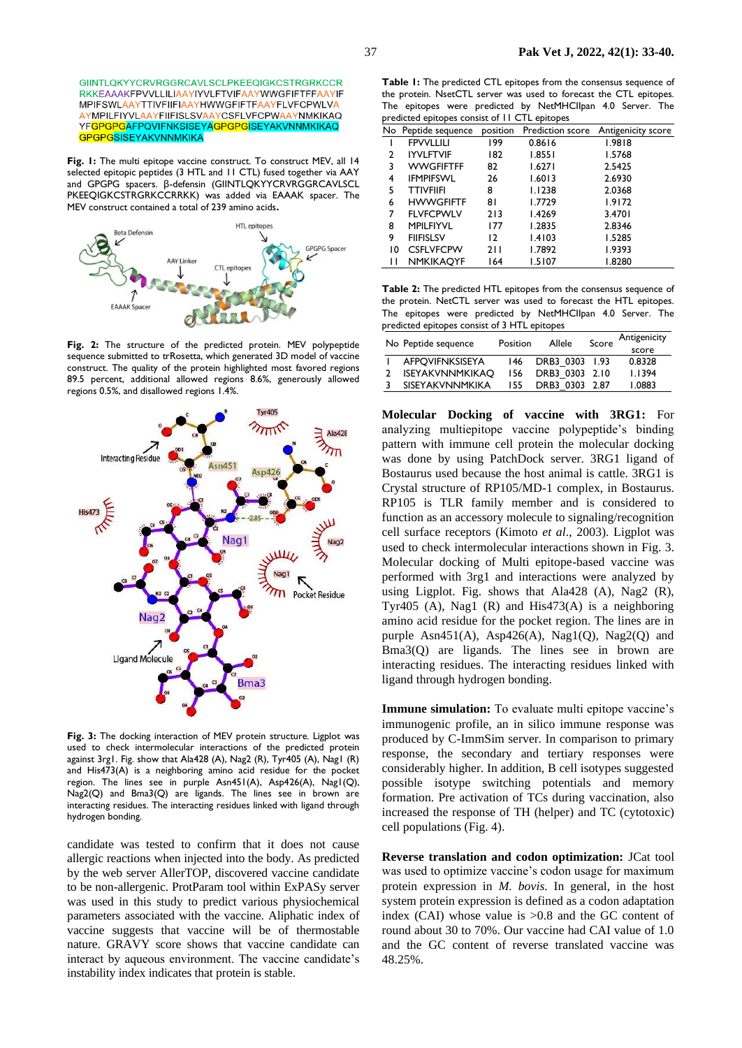GIINTI OKYYCRVRGGRCAVI SCI PKFFOIGKCSTRGRKCCR RKKEAAAKFPVVLLILIAAYIYVLFTVIFAAYWWGFIFTFFAAYIF MPIFSWLAAYTTIVFIIFIAAYHWWGFIFTFAAYFLVFCPWLVA **AYMPILFIYVLAAYFIIFISLSVAAYCSFLVFCPWAAYNMKIKAQ** YFGPGPGAFPQVIFNKSISEYAGPGPGISEYAKVNNMKIKAQ **GPGPGSISEYAKVNNMKIKA** 

**Fig. 1:** The multi epitope vaccine construct. To construct MEV, all 14 selected epitopic peptides (3 HTL and 11 CTL) fused together via AAY and GPGPG spacers. β-defensin (GIINTLQKYYCRVRGGRCAVLSCL PKEEQIGKCSTRGRKCCRRKK) was added via EAAAK spacer. The MEV construct contained a total of 239 amino acids**.**



**Fig. 2:** The structure of the predicted protein. MEV polypeptide sequence submitted to trRosetta, which generated 3D model of vaccine construct. The quality of the protein highlighted most favored regions 89.5 percent, additional allowed regions 8.6%, generously allowed regions 0.5%, and disallowed regions 1.4%.



**Fig. 3:** The docking interaction of MEV protein structure. Ligplot was used to check intermolecular interactions of the predicted protein against 3rg1. Fig. show that Ala428 (A), Nag2 (R), Tyr405 (A), Nag1 (R) and His473(A) is a neighboring amino acid residue for the pocket region. The lines see in purple Asn451(A), Asp426(A), Nag1(Q), Nag2(Q) and Bma3(Q) are ligands. The lines see in brown are interacting residues. The interacting residues linked with ligand through hydrogen bonding.

candidate was tested to confirm that it does not cause allergic reactions when injected into the body. As predicted by the web server AllerTOP, discovered vaccine candidate to be non-allergenic. ProtParam tool within ExPASy server was used in this study to predict various physiochemical parameters associated with the vaccine. Aliphatic index of vaccine suggests that vaccine will be of thermostable nature. GRAVY score shows that vaccine candidate can interact by aqueous environment. The vaccine candidate's instability index indicates that protein is stable.

**Table 1:** The predicted CTL epitopes from the consensus sequence of the protein. NsetCTL server was used to forecast the CTL epitopes. The epitopes were predicted by NetMHCIIpan 4.0 Server. The predicted epitopes consist of 11 CTL epitopes

|    | No Peptide sequence | position | Prediction score | Antigenicity score |
|----|---------------------|----------|------------------|--------------------|
|    | <b>FPVVLLILI</b>    | 199      | 0.8616           | 1.9818             |
| 2  | <b>IYVLFTVIF</b>    | 182      | 1.8551           | 1.5768             |
| 3  | <b>WWGFIFTFF</b>    | 82       | 1.6271           | 2.5425             |
| 4  | <b>IFMPIFSWL</b>    | 26       | 1.6013           | 2.6930             |
| 5  | <b>TTIVFIIFI</b>    | 8        | 1.1238           | 2.0368             |
| 6  | <b>HWWGFIFTF</b>    | 81       | 1.7729           | 1.9172             |
| 7  | <b>FLVFCPWLV</b>    | 213      | 1.4269           | 3.4701             |
| 8  | <b>MPILFIYVL</b>    | 177      | 1.2835           | 2.8346             |
| 9  | <b>FIIFISLSV</b>    | 12       | 1.4103           | 1.5285             |
| 10 | <b>CSFLVFCPW</b>    | 211      | 1.7892           | 1.9393             |
| Н  | <b>NMKIKAOYF</b>    | 164      | 1.5107           | 1.8280             |

**Table 2:** The predicted HTL epitopes from the consensus sequence of the protein. NetCTL server was used to forecast the HTL epitopes. The epitopes were predicted by NetMHCIIpan 4.0 Server. The predicted epitopes consist of 3 HTL epitopes

| No Peptide sequence |                        | Position | Allele         | Score | Antigenicity |
|---------------------|------------------------|----------|----------------|-------|--------------|
|                     |                        |          |                |       | score        |
|                     | <b>AFPOVIFNKSISEYA</b> | 146      | DRB3 0303 1.93 |       | 0.8328       |
|                     | <b>ISEYAKVNNMKIKAO</b> | 156      | DRB3 0303 2.10 |       | 1.1394       |
|                     | <b>SISEYAKVNNMKIKA</b> | 155      | DRB3 0303 2.87 |       | 1.0883       |

**Molecular Docking of vaccine with 3RG1:** For analyzing multiepitope vaccine polypeptide's binding pattern with immune cell protein the molecular docking was done by using PatchDock server. 3RG1 ligand of Bostaurus used because the host animal is cattle. 3RG1 is Crystal structure of RP105/MD-1 complex, in Bostaurus. RP105 is TLR family member and is considered to function as an accessory molecule to signaling/recognition cell surface receptors (Kimoto *et al*., 2003). Ligplot was used to check intermolecular interactions shown in Fig. 3. Molecular docking of Multi epitope-based vaccine was performed with 3rg1 and interactions were analyzed by using Ligplot. Fig. shows that Ala428 (A), Nag2 (R), Tyr405 (A), Nag1 (R) and His473(A) is a neighboring amino acid residue for the pocket region. The lines are in purple Asn $451(A)$ , Asp $426(A)$ , Nag $1(0)$ , Nag $2(0)$  and Bma3(Q) are ligands. The lines see in brown are interacting residues. The interacting residues linked with ligand through hydrogen bonding.

**Immune simulation:** To evaluate multi epitope vaccine's immunogenic profile, an in silico immune response was produced by C-ImmSim server. In comparison to primary response, the secondary and tertiary responses were considerably higher. In addition, B cell isotypes suggested possible isotype switching potentials and memory formation. Pre activation of TCs during vaccination, also increased the response of TH (helper) and TC (cytotoxic) cell populations (Fig. 4).

**Reverse translation and codon optimization:** JCat tool was used to optimize vaccine's codon usage for maximum protein expression in *M. bovis*. In general, in the host system protein expression is defined as a codon adaptation index (CAI) whose value is >0.8 and the GC content of round about 30 to 70%. Our vaccine had CAI value of 1.0 and the GC content of reverse translated vaccine was 48.25%.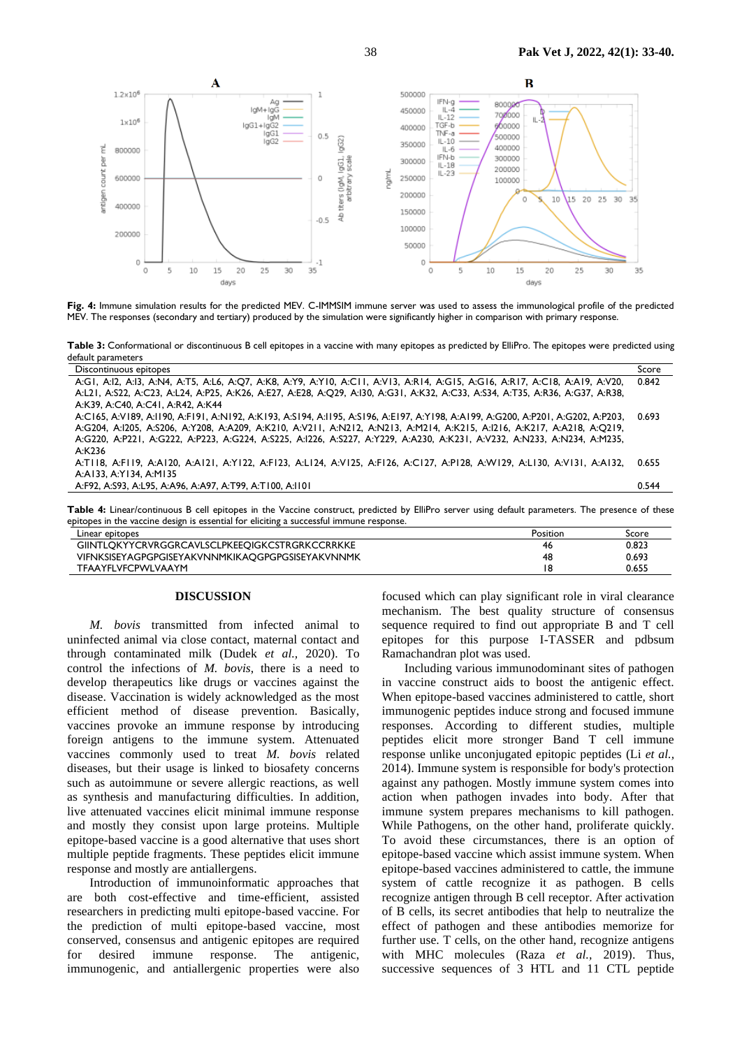

**Fig. 4:** Immune simulation results for the predicted MEV. C-IMMSIM immune server was used to assess the immunological profile of the predicted MEV. The responses (secondary and tertiary) produced by the simulation were significantly higher in comparison with primary response.

Table 3: Conformational or discontinuous B cell epitopes in a vaccine with many epitopes as predicted by ElliPro. The epitopes were predicted using default parameters

| Discontinuous epitopes                                                                                                          | Score |
|---------------------------------------------------------------------------------------------------------------------------------|-------|
| A:GI, A:I2, A:I3, A:N4, A:T5, A:L6, A:Q7, A:K8, A:Y9, A:Y10, A:C11, A:V13, A:R14, A:G15, A:G16, A:R17, A:C18, A:A19, A:V20,     | 0.842 |
| A:L21, A:S22, A:C23, A:L24, A:P25, A:K26, A:E27, A:E28, A:Q29, A:l30, A:G31, A:K32, A:C33, A:S34, A:T35, A:R36, A:G37, A:R38,   |       |
| A:K39, A:C40, A:C41, A:R42, A:K44                                                                                               |       |
| A:C165, A:V189, A:I190, A:F191, A:N192, A:K193, A:S194, A:I195, A:S196, A:E197, A:Y198, A:A199, A:G200, A:P201, A:G202, A:P203, | 0.693 |
| A:G204, A:l205, A:S206, A:Y208, A:A209, A:K210, A:V211, A:N212, A:N213, A:M214, A:K215, A:l216, A:K217, A:A218, A:Q219,         |       |
| A:G220, A:P221, A:G222, A:P223, A:G224, A:S225, A:l226, A:S227, A:Y229, A:A230, A:K231, A:V232, A:N233, A:N234, A:M235,         |       |
| A:K236                                                                                                                          |       |
| A:TII8, A:FII9, A:AI20, A:AI21, A:YI22, A:FI23, A:LI24, A:VI25, A:FI26, A:CI27, A:PI28, A:WI29, A:LI30, A:VI31, A:AI32,         | 0.655 |
| A:A133, A:Y134, A:M135                                                                                                          |       |
| A:F92, A:S93, A:L95, A:A96, A:A97, A:T99, A:T100, A:1101                                                                        | 0.544 |
|                                                                                                                                 |       |

Table 4: Linear/continuous B cell epitopes in the Vaccine construct, predicted by ElliPro server using default parameters. The presence of these epitopes in the vaccine design is essential for eliciting a successful immune response.

| Linear epitopes                                  | Position | Score |
|--------------------------------------------------|----------|-------|
| GIINTLOKYYCRVRGGRCAVLSCLPKEEQIGKCSTRGRKCCRRKKE   | 46       | 0.823 |
| VIFNKSISEYAGPGPGISEYAKVNNMKIKAQGPGPGSISEYAKVNNMK | 48       | 0.693 |
| <b>TFAAYFLVFCPWLVAAYM</b>                        |          | 0.655 |

#### **DISCUSSION**

*M. bovis* transmitted from infected animal to uninfected animal via close contact, maternal contact and through contaminated milk (Dudek *et al.,* 2020). To control the infections of *M. bovis*, there is a need to develop therapeutics like drugs or vaccines against the disease. Vaccination is widely acknowledged as the most efficient method of disease prevention. Basically, vaccines provoke an immune response by introducing foreign antigens to the immune system. Attenuated vaccines commonly used to treat *M. bovis* related diseases, but their usage is linked to biosafety concerns such as autoimmune or severe allergic reactions, as well as synthesis and manufacturing difficulties. In addition, live attenuated vaccines elicit minimal immune response and mostly they consist upon large proteins. Multiple epitope-based vaccine is a good alternative that uses short multiple peptide fragments. These peptides elicit immune response and mostly are antiallergens.

Introduction of immunoinformatic approaches that are both cost-effective and time-efficient, assisted researchers in predicting multi epitope-based vaccine. For the prediction of multi epitope-based vaccine, most conserved, consensus and antigenic epitopes are required for desired immune response. The antigenic, immunogenic, and antiallergenic properties were also focused which can play significant role in viral clearance mechanism. The best quality structure of consensus sequence required to find out appropriate B and T cell epitopes for this purpose I-TASSER and pdbsum Ramachandran plot was used.

Including various immunodominant sites of pathogen in vaccine construct aids to boost the antigenic effect. When epitope-based vaccines administered to cattle, short immunogenic peptides induce strong and focused immune responses. According to different studies, multiple peptides elicit more stronger Band T cell immune response unlike unconjugated epitopic peptides (Li *et al.,* 2014). Immune system is responsible for body's protection against any pathogen. Mostly immune system comes into action when pathogen invades into body. After that immune system prepares mechanisms to kill pathogen. While Pathogens, on the other hand, proliferate quickly. To avoid these circumstances, there is an option of epitope-based vaccine which assist immune system. When epitope-based vaccines administered to cattle, the immune system of cattle recognize it as pathogen. B cells recognize antigen through B cell receptor. After activation of B cells, its secret antibodies that help to neutralize the effect of pathogen and these antibodies memorize for further use. T cells, on the other hand, recognize antigens with MHC molecules (Raza *et al.,* 2019). Thus, successive sequences of 3 HTL and 11 CTL peptide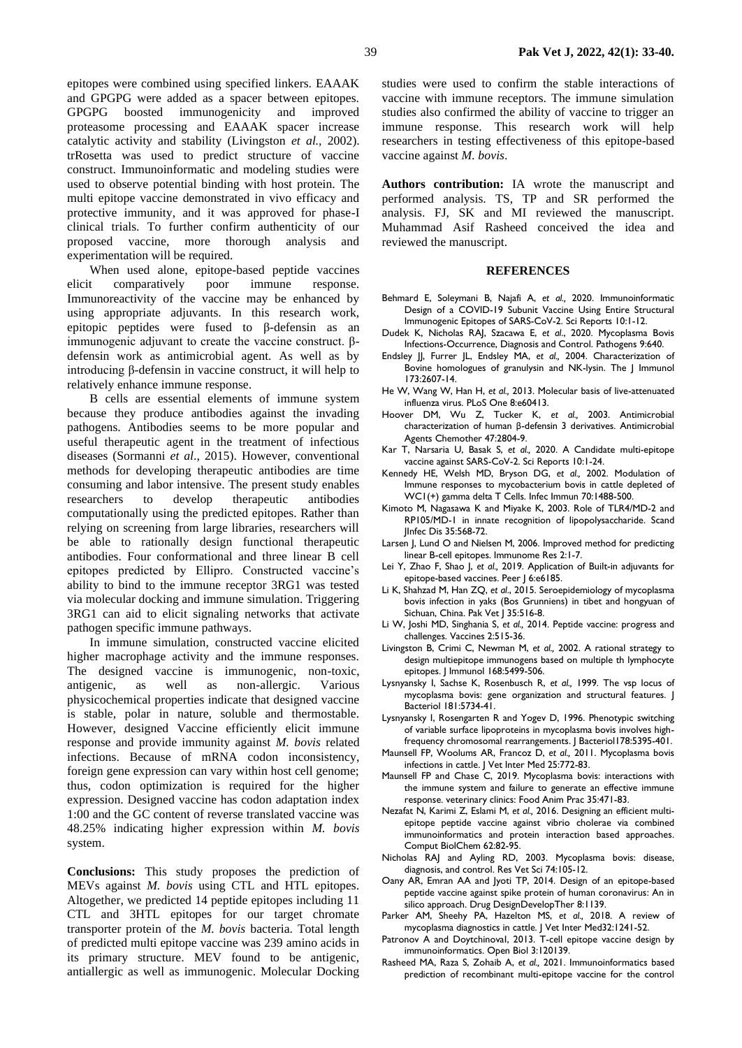epitopes were combined using specified linkers. EAAAK and GPGPG were added as a spacer between epitopes. GPGPG boosted immunogenicity and improved proteasome processing and EAAAK spacer increase catalytic activity and stability (Livingston *et al.,* 2002). trRosetta was used to predict structure of vaccine construct. Immunoinformatic and modeling studies were used to observe potential binding with host protein. The multi epitope vaccine demonstrated in vivo efficacy and protective immunity, and it was approved for phase-I clinical trials. To further confirm authenticity of our proposed vaccine, more thorough analysis and experimentation will be required.

When used alone, epitope-based peptide vaccines elicit comparatively poor immune response. Immunoreactivity of the vaccine may be enhanced by using appropriate adjuvants. In this research work, epitopic peptides were fused to β-defensin as an immunogenic adjuvant to create the vaccine construct. βdefensin work as antimicrobial agent. As well as by introducing β-defensin in vaccine construct, it will help to relatively enhance immune response.

B cells are essential elements of immune system because they produce antibodies against the invading pathogens. Antibodies seems to be more popular and useful therapeutic agent in the treatment of infectious diseases (Sormanni *et al*., 2015). However, conventional methods for developing therapeutic antibodies are time consuming and labor intensive. The present study enables researchers to develop therapeutic antibodies computationally using the predicted epitopes. Rather than relying on screening from large libraries, researchers will be able to rationally design functional therapeutic antibodies. Four conformational and three linear B cell epitopes predicted by Ellipro. Constructed vaccine's ability to bind to the immune receptor 3RG1 was tested via molecular docking and immune simulation. Triggering 3RG1 can aid to elicit signaling networks that activate pathogen specific immune pathways.

In immune simulation, constructed vaccine elicited higher macrophage activity and the immune responses. The designed vaccine is immunogenic, non-toxic, antigenic, as well as non-allergic. Various physicochemical properties indicate that designed vaccine is stable, polar in nature, soluble and thermostable. However, designed Vaccine efficiently elicit immune response and provide immunity against *M. bovis* related infections. Because of mRNA codon inconsistency, foreign gene expression can vary within host cell genome; thus, codon optimization is required for the higher expression. Designed vaccine has codon adaptation index 1:00 and the GC content of reverse translated vaccine was 48.25% indicating higher expression within *M. bovis* system.

**Conclusions:** This study proposes the prediction of MEVs against *M. bovis* using CTL and HTL epitopes. Altogether, we predicted 14 peptide epitopes including 11 CTL and 3HTL epitopes for our target chromate transporter protein of the *M. bovis* bacteria. Total length of predicted multi epitope vaccine was 239 amino acids in its primary structure. MEV found to be antigenic, antiallergic as well as immunogenic. Molecular Docking

studies were used to confirm the stable interactions of vaccine with immune receptors. The immune simulation studies also confirmed the ability of vaccine to trigger an immune response. This research work will help researchers in testing effectiveness of this epitope-based vaccine against *M. bovis*.

**Authors contribution:** IA wrote the manuscript and performed analysis. TS, TP and SR performed the analysis. FJ, SK and MI reviewed the manuscript. Muhammad Asif Rasheed conceived the idea and reviewed the manuscript.

#### **REFERENCES**

- Behmard E, Soleymani B, Najafi A, *et al.,* 2020. Immunoinformatic Design of a COVID-19 Subunit Vaccine Using Entire Structural Immunogenic Epitopes of SARS-CoV-2. Sci Reports 10:1-12.
- Dudek K, Nicholas RAJ, Szacawa E, *et al*., 2020. Mycoplasma Bovis Infections-Occurrence, Diagnosis and Control. Pathogens 9:640.
- Endsley JJ, Furrer JL, Endsley MA, *et al.,* 2004. Characterization of Bovine homologues of granulysin and NK-lysin. The J Immunol 173:2607-14.
- He W, Wang W, Han H, *et al.,* 2013. Molecular basis of live-attenuated influenza virus. PLoS One 8:e60413.
- Hoover DM, Wu Z, Tucker K, *et al.,* 2003. Antimicrobial characterization of human β-defensin 3 derivatives. Antimicrobial Agents Chemother 47:2804-9.
- Kar T, Narsaria U, Basak S, *et al.,* 2020. A Candidate multi-epitope vaccine against SARS-CoV-2. Sci Reports 10:1-24.
- Kennedy HE, Welsh MD, Bryson DG, *et al.,* 2002. Modulation of Immune responses to mycobacterium bovis in cattle depleted of WC1(+) gamma delta T Cells. Infec Immun 70:1488-500.
- Kimoto M, Nagasawa K and Miyake K, 2003. Role of TLR4/MD-2 and RP105/MD-1 in innate recognition of lipopolysaccharide. Scand JInfec Dis 35:568-72.
- Larsen J, Lund O and Nielsen M, 2006. Improved method for predicting linear B-cell epitopes. Immunome Res 2:1-7.
- Lei Y, Zhao F, Shao J, *et al.,* 2019. Application of Built-in adjuvants for epitope-based vaccines. Peer J 6:e6185.
- Li K, Shahzad M, Han ZQ, *et al*., 2015. Seroepidemiology of mycoplasma bovis infection in yaks (Bos Grunniens) in tibet and hongyuan of Sichuan, China. Pak Vet J 35:516-8.
- Li W, Joshi MD, Singhania S, *et al.,* 2014. Peptide vaccine: progress and challenges. Vaccines 2:515-36.
- Livingston B, Crimi C, Newman M, *et al.,* 2002. A rational strategy to design multiepitope immunogens based on multiple th lymphocyte epitopes. J Immunol 168:5499-506.
- Lysnyansky I, Sachse K, Rosenbusch R, *et al.,* 1999. The vsp locus of mycoplasma bovis: gene organization and structural features. J Bacteriol 181:5734-41.
- Lysnyansky I, Rosengarten R and Yogev D, 1996. Phenotypic switching of variable surface lipoproteins in mycoplasma bovis involves highfrequency chromosomal rearrangements. J Bacteriol178:5395-401.
- Maunsell FP, Woolums AR, Francoz D, *et al.,* 2011. Mycoplasma bovis infections in cattle. J Vet Inter Med 25:772-83.
- Maunsell FP and Chase C, 2019. Mycoplasma bovis: interactions with the immune system and failure to generate an effective immune response. veterinary clinics: Food Anim Prac 35:471-83.
- Nezafat N, Karimi Z, Eslami M, *et al.,* 2016. Designing an efficient multiepitope peptide vaccine against vibrio cholerae via combined immunoinformatics and protein interaction based approaches. Comput BiolChem 62:82-95.
- Nicholas RAJ and Ayling RD, 2003. Mycoplasma bovis: disease, diagnosis, and control. Res Vet Sci 74:105-12.
- Oany AR, Emran AA and Jyoti TP, 2014. Design of an epitope-based peptide vaccine against spike protein of human coronavirus: An in silico approach. Drug DesignDevelopTher 8:1139.
- Parker AM, Sheehy PA, Hazelton MS, *et al.,* 2018. A review of mycoplasma diagnostics in cattle. J Vet Inter Med32:1241-52.
- Patronov A and DoytchinovaI, 2013. T-cell epitope vaccine design by immunoinformatics. Open Biol 3:120139.
- Rasheed MA, Raza S, Zohaib A, *et al.,* 2021. Immunoinformatics based prediction of recombinant multi-epitope vaccine for the control